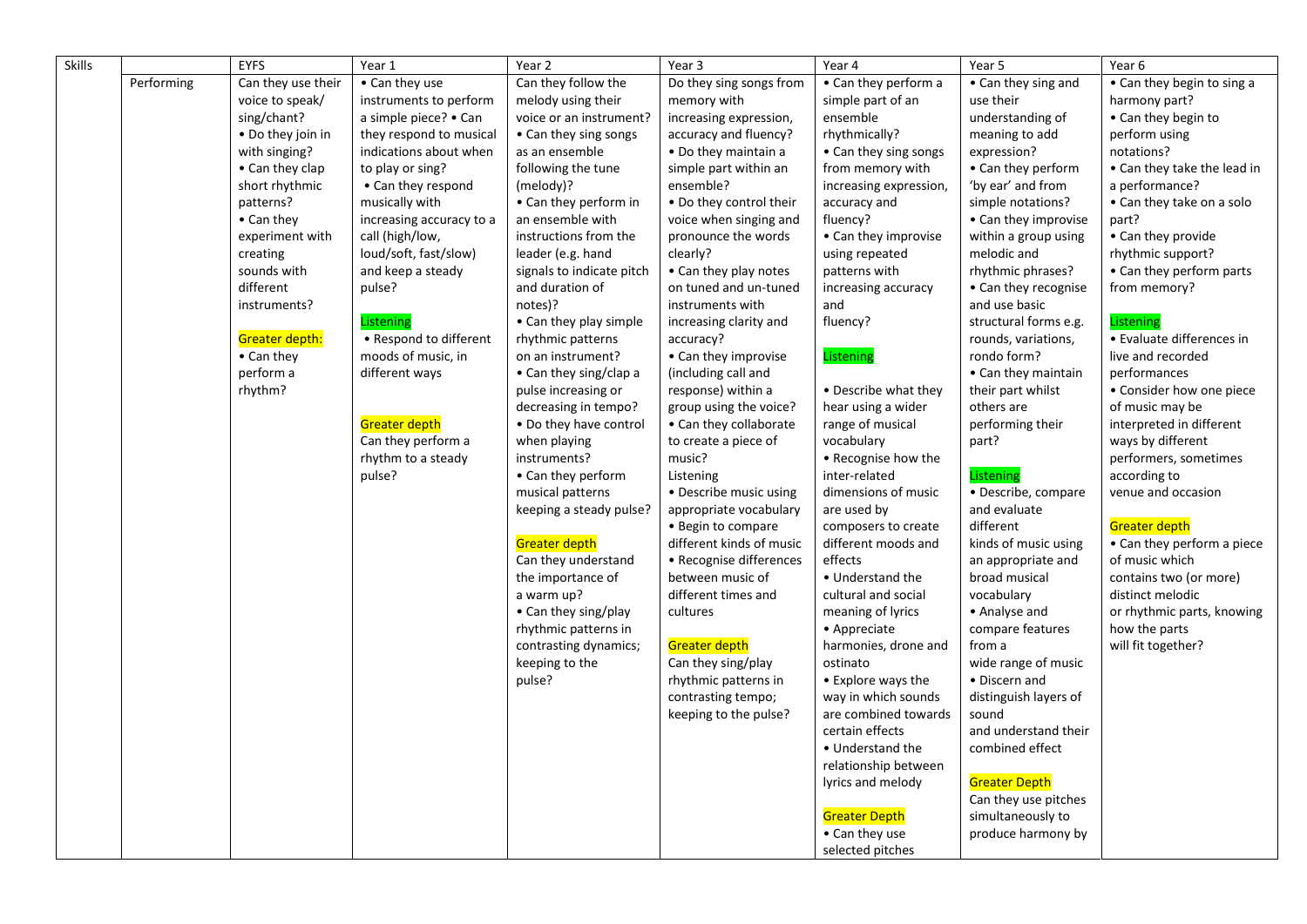| <b>Skills</b> |            | <b>EYFS</b>        | Year 1                   | Year 2                    | Year 3                                         | Year 4                                     | Year 5                    | Year 6                                             |
|---------------|------------|--------------------|--------------------------|---------------------------|------------------------------------------------|--------------------------------------------|---------------------------|----------------------------------------------------|
|               | Performing | Can they use their | • Can they use           | Can they follow the       | Do they sing songs from                        | • Can they perform a                       | • Can they sing and       | • Can they begin to sing a                         |
|               |            | voice to speak/    | instruments to perform   | melody using their        | memory with                                    | simple part of an                          | use their                 | harmony part?                                      |
|               |            | sing/chant?        | a simple piece? • Can    | voice or an instrument?   | increasing expression,                         | ensemble                                   | understanding of          | • Can they begin to                                |
|               |            | • Do they join in  | they respond to musical  | • Can they sing songs     | accuracy and fluency?                          | rhythmically?                              | meaning to add            | perform using                                      |
|               |            | with singing?      | indications about when   | as an ensemble            | • Do they maintain a                           | • Can they sing songs                      | expression?               | notations?                                         |
|               |            | • Can they clap    | to play or sing?         | following the tune        | simple part within an                          | from memory with                           | • Can they perform        | • Can they take the lead in                        |
|               |            | short rhythmic     | • Can they respond       | (melody)?                 | ensemble?                                      | increasing expression,                     | 'by ear' and from         | a performance?                                     |
|               |            | patterns?          | musically with           | • Can they perform in     | • Do they control their                        | accuracy and                               | simple notations?         | • Can they take on a solo                          |
|               |            | • Can they         | increasing accuracy to a | an ensemble with          | voice when singing and                         | fluency?                                   | • Can they improvise      | part?                                              |
|               |            | experiment with    | call (high/low,          | instructions from the     | pronounce the words                            | • Can they improvise                       | within a group using      | • Can they provide                                 |
|               |            | creating           | loud/soft, fast/slow)    | leader (e.g. hand         | clearly?                                       | using repeated                             | melodic and               | rhythmic support?                                  |
|               |            | sounds with        | and keep a steady        | signals to indicate pitch | • Can they play notes                          | patterns with                              | rhythmic phrases?         | • Can they perform parts                           |
|               |            | different          | pulse?                   | and duration of           | on tuned and un-tuned                          | increasing accuracy                        | • Can they recognise      | from memory?                                       |
|               |            | instruments?       |                          | notes)?                   | instruments with                               | and                                        | and use basic             |                                                    |
|               |            |                    | Listening                | • Can they play simple    | increasing clarity and                         | fluency?                                   | structural forms e.g.     | Listening                                          |
|               |            | Greater depth:     | • Respond to different   | rhythmic patterns         | accuracy?                                      |                                            | rounds, variations,       | • Evaluate differences in                          |
|               |            | • Can they         | moods of music, in       | on an instrument?         | • Can they improvise                           | Listening                                  | rondo form?               | live and recorded                                  |
|               |            | perform a          | different ways           | • Can they sing/clap a    | (including call and                            |                                            | • Can they maintain       | performances                                       |
|               |            | rhythm?            |                          | pulse increasing or       | response) within a                             | • Describe what they                       | their part whilst         | • Consider how one piece                           |
|               |            |                    |                          | decreasing in tempo?      | group using the voice?                         | hear using a wider                         | others are                | of music may be                                    |
|               |            |                    | <b>Greater depth</b>     | . Do they have control    | • Can they collaborate                         | range of musical                           | performing their          | interpreted in different                           |
|               |            |                    | Can they perform a       | when playing              | to create a piece of                           | vocabulary                                 | part?                     | ways by different                                  |
|               |            |                    | rhythm to a steady       | instruments?              | music?                                         | • Recognise how the                        |                           | performers, sometimes                              |
|               |            |                    | pulse?                   | • Can they perform        | Listening                                      | inter-related                              | Listening                 | according to                                       |
|               |            |                    |                          | musical patterns          | • Describe music using                         | dimensions of music                        | • Describe, compare       | venue and occasion                                 |
|               |            |                    |                          | keeping a steady pulse?   | appropriate vocabulary                         | are used by                                | and evaluate<br>different |                                                    |
|               |            |                    |                          | Greater depth             | • Begin to compare<br>different kinds of music | composers to create<br>different moods and | kinds of music using      | <b>Greater depth</b><br>• Can they perform a piece |
|               |            |                    |                          | Can they understand       | • Recognise differences                        | effects                                    | an appropriate and        | of music which                                     |
|               |            |                    |                          | the importance of         | between music of                               | • Understand the                           | broad musical             | contains two (or more)                             |
|               |            |                    |                          | a warm up?                | different times and                            | cultural and social                        | vocabulary                | distinct melodic                                   |
|               |            |                    |                          | • Can they sing/play      | cultures                                       | meaning of lyrics                          | • Analyse and             | or rhythmic parts, knowing                         |
|               |            |                    |                          | rhythmic patterns in      |                                                | • Appreciate                               | compare features          | how the parts                                      |
|               |            |                    |                          | contrasting dynamics;     | <b>Greater depth</b>                           | harmonies, drone and                       | from a                    | will fit together?                                 |
|               |            |                    |                          | keeping to the            | Can they sing/play                             | ostinato                                   | wide range of music       |                                                    |
|               |            |                    |                          | pulse?                    | rhythmic patterns in                           | • Explore ways the                         | • Discern and             |                                                    |
|               |            |                    |                          |                           | contrasting tempo;                             | way in which sounds                        | distinguish layers of     |                                                    |
|               |            |                    |                          |                           | keeping to the pulse?                          | are combined towards                       | sound                     |                                                    |
|               |            |                    |                          |                           |                                                | certain effects                            | and understand their      |                                                    |
|               |            |                    |                          |                           |                                                | • Understand the                           | combined effect           |                                                    |
|               |            |                    |                          |                           |                                                | relationship between                       |                           |                                                    |
|               |            |                    |                          |                           |                                                | lyrics and melody                          | <b>Greater Depth</b>      |                                                    |
|               |            |                    |                          |                           |                                                |                                            | Can they use pitches      |                                                    |
|               |            |                    |                          |                           |                                                | <b>Greater Depth</b>                       | simultaneously to         |                                                    |
|               |            |                    |                          |                           |                                                | • Can they use                             | produce harmony by        |                                                    |
|               |            |                    |                          |                           |                                                | selected pitches                           |                           |                                                    |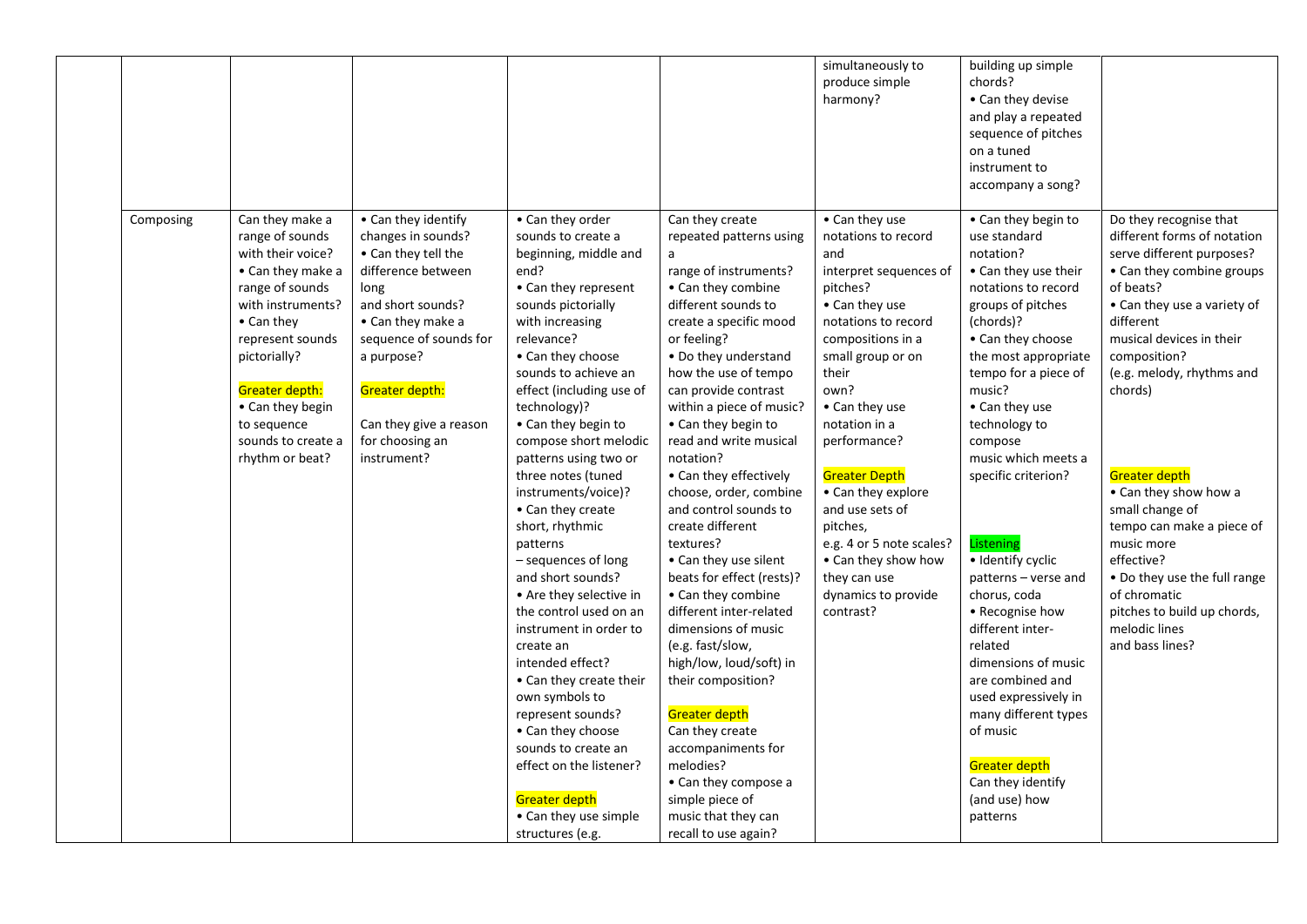|           |                                                                                                                                                                                                                                                                              |                                                                                                                                                                                                                                                                |                                                                                                                                                                                                                                                                                                                                                                                                                                                                                                                                                                                                                                                                                                                                                                                              |                                                                                                                                                                                                                                                                                                                                                                                                                                                                                                                                                                                                                                                                                                                                                                                                                    | simultaneously to<br>produce simple<br>harmony?                                                                                                                                                                                                                                                                                                                                                                               | building up simple<br>chords?<br>• Can they devise<br>and play a repeated<br>sequence of pitches<br>on a tuned<br>instrument to<br>accompany a song?                                                                                                                                                                                                                                                                                                                                                                                                                                                                      |                                                                                                                                                                                                                                                                                                                                                                                                                                                                                                       |
|-----------|------------------------------------------------------------------------------------------------------------------------------------------------------------------------------------------------------------------------------------------------------------------------------|----------------------------------------------------------------------------------------------------------------------------------------------------------------------------------------------------------------------------------------------------------------|----------------------------------------------------------------------------------------------------------------------------------------------------------------------------------------------------------------------------------------------------------------------------------------------------------------------------------------------------------------------------------------------------------------------------------------------------------------------------------------------------------------------------------------------------------------------------------------------------------------------------------------------------------------------------------------------------------------------------------------------------------------------------------------------|--------------------------------------------------------------------------------------------------------------------------------------------------------------------------------------------------------------------------------------------------------------------------------------------------------------------------------------------------------------------------------------------------------------------------------------------------------------------------------------------------------------------------------------------------------------------------------------------------------------------------------------------------------------------------------------------------------------------------------------------------------------------------------------------------------------------|-------------------------------------------------------------------------------------------------------------------------------------------------------------------------------------------------------------------------------------------------------------------------------------------------------------------------------------------------------------------------------------------------------------------------------|---------------------------------------------------------------------------------------------------------------------------------------------------------------------------------------------------------------------------------------------------------------------------------------------------------------------------------------------------------------------------------------------------------------------------------------------------------------------------------------------------------------------------------------------------------------------------------------------------------------------------|-------------------------------------------------------------------------------------------------------------------------------------------------------------------------------------------------------------------------------------------------------------------------------------------------------------------------------------------------------------------------------------------------------------------------------------------------------------------------------------------------------|
| Composing | Can they make a<br>range of sounds<br>with their voice?<br>• Can they make a<br>range of sounds<br>with instruments?<br>$\bullet$ Can they<br>represent sounds<br>pictorially?<br>Greater depth:<br>• Can they begin<br>to sequence<br>sounds to create a<br>rhythm or beat? | • Can they identify<br>changes in sounds?<br>• Can they tell the<br>difference between<br>long<br>and short sounds?<br>• Can they make a<br>sequence of sounds for<br>a purpose?<br>Greater depth:<br>Can they give a reason<br>for choosing an<br>instrument? | • Can they order<br>sounds to create a<br>beginning, middle and<br>end?<br>• Can they represent<br>sounds pictorially<br>with increasing<br>relevance?<br>• Can they choose<br>sounds to achieve an<br>effect (including use of<br>technology)?<br>• Can they begin to<br>compose short melodic<br>patterns using two or<br>three notes (tuned<br>instruments/voice)?<br>• Can they create<br>short, rhythmic<br>patterns<br>- sequences of long<br>and short sounds?<br>• Are they selective in<br>the control used on an<br>instrument in order to<br>create an<br>intended effect?<br>• Can they create their<br>own symbols to<br>represent sounds?<br>• Can they choose<br>sounds to create an<br>effect on the listener?<br>Greater depth<br>• Can they use simple<br>structures (e.g. | Can they create<br>repeated patterns using<br>a<br>range of instruments?<br>• Can they combine<br>different sounds to<br>create a specific mood<br>or feeling?<br>• Do they understand<br>how the use of tempo<br>can provide contrast<br>within a piece of music?<br>• Can they begin to<br>read and write musical<br>notation?<br>• Can they effectively<br>choose, order, combine<br>and control sounds to<br>create different<br>textures?<br>• Can they use silent<br>beats for effect (rests)?<br>• Can they combine<br>different inter-related<br>dimensions of music<br>(e.g. fast/slow,<br>high/low, loud/soft) in<br>their composition?<br>Greater depth<br>Can they create<br>accompaniments for<br>melodies?<br>• Can they compose a<br>simple piece of<br>music that they can<br>recall to use again? | • Can they use<br>notations to record<br>and<br>interpret sequences of<br>pitches?<br>• Can they use<br>notations to record<br>compositions in a<br>small group or on<br>their<br>own?<br>• Can they use<br>notation in a<br>performance?<br><b>Greater Depth</b><br>• Can they explore<br>and use sets of<br>pitches,<br>e.g. 4 or 5 note scales?<br>• Can they show how<br>they can use<br>dynamics to provide<br>contrast? | • Can they begin to<br>use standard<br>notation?<br>• Can they use their<br>notations to record<br>groups of pitches<br>(chords)?<br>• Can they choose<br>the most appropriate<br>tempo for a piece of<br>music?<br>• Can they use<br>technology to<br>compose<br>music which meets a<br>specific criterion?<br>Listening<br>· Identify cyclic<br>patterns - verse and<br>chorus, coda<br>• Recognise how<br>different inter-<br>related<br>dimensions of music<br>are combined and<br>used expressively in<br>many different types<br>of music<br><b>Greater depth</b><br>Can they identify<br>(and use) how<br>patterns | Do they recognise that<br>different forms of notation<br>serve different purposes?<br>• Can they combine groups<br>of beats?<br>• Can they use a variety of<br>different<br>musical devices in their<br>composition?<br>(e.g. melody, rhythms and<br>chords)<br>Greater depth<br>• Can they show how a<br>small change of<br>tempo can make a piece of<br>music more<br>effective?<br>• Do they use the full range<br>of chromatic<br>pitches to build up chords,<br>melodic lines<br>and bass lines? |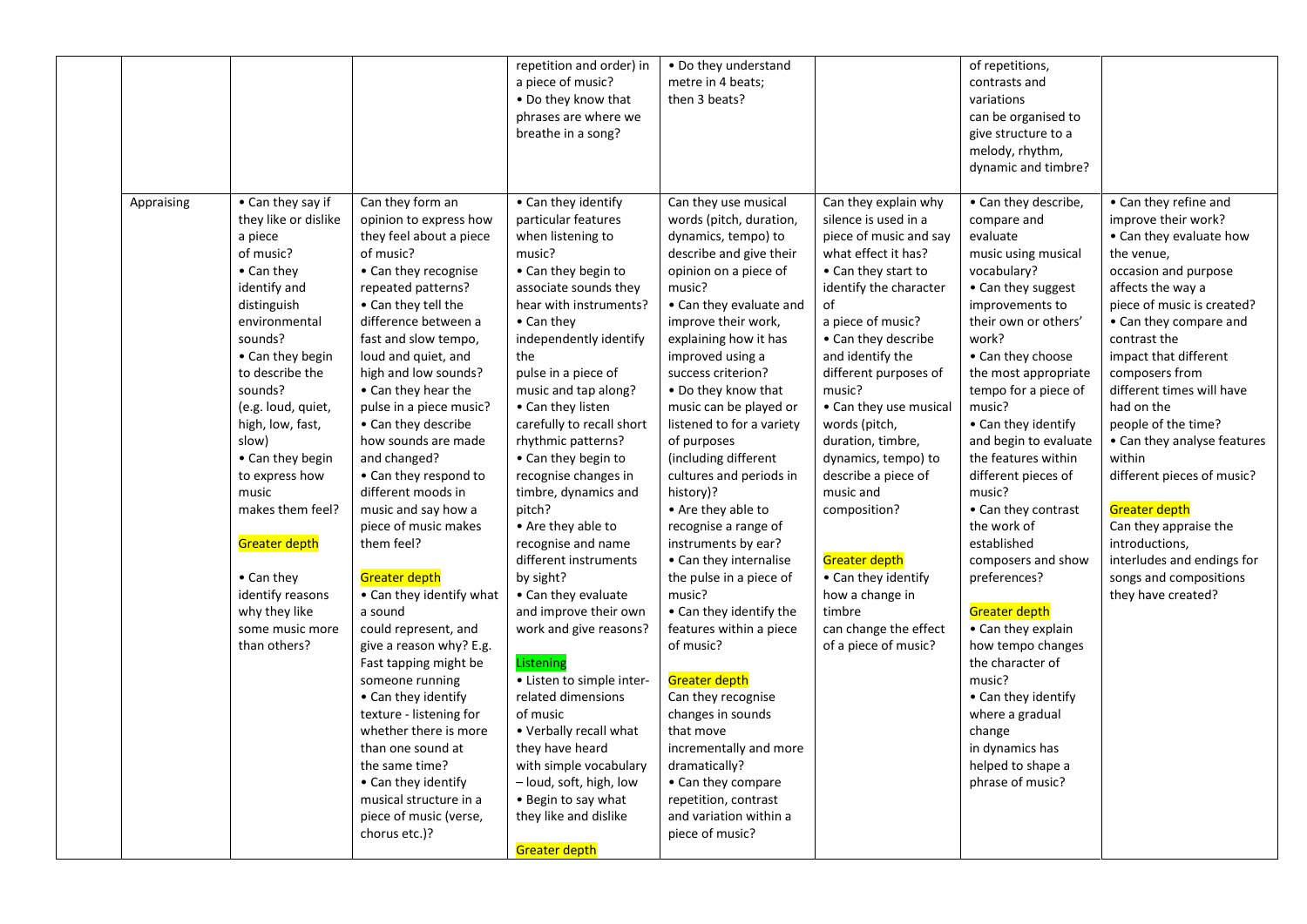|            |                                                                                                                                                                                                                                                                                                                                                                                                                                                             |                                                                                                                                                                                                                                                                                                                                                                                                                                                                                                                                                                                                                                                                                                                                                                                                                                                         | repetition and order) in<br>a piece of music?<br>• Do they know that<br>phrases are where we<br>breathe in a song?                                                                                                                                                                                                                                                                                                                                                                                                                                                                                                                                                                                                                                                                                                    | • Do they understand<br>metre in 4 beats;<br>then 3 beats?                                                                                                                                                                                                                                                                                                                                                                                                                                                                                                                                                                                                                                                                                                                                                                                          |                                                                                                                                                                                                                                                                                                                                                                                                                                                                                                                                 | of repetitions,<br>contrasts and<br>variations<br>can be organised to<br>give structure to a<br>melody, rhythm,<br>dynamic and timbre?                                                                                                                                                                                                                                                                                                                                                                                                                                                                                                                             |                                                                                                                                                                                                                                                                                                                                                                                                                                                                                                                                          |
|------------|-------------------------------------------------------------------------------------------------------------------------------------------------------------------------------------------------------------------------------------------------------------------------------------------------------------------------------------------------------------------------------------------------------------------------------------------------------------|---------------------------------------------------------------------------------------------------------------------------------------------------------------------------------------------------------------------------------------------------------------------------------------------------------------------------------------------------------------------------------------------------------------------------------------------------------------------------------------------------------------------------------------------------------------------------------------------------------------------------------------------------------------------------------------------------------------------------------------------------------------------------------------------------------------------------------------------------------|-----------------------------------------------------------------------------------------------------------------------------------------------------------------------------------------------------------------------------------------------------------------------------------------------------------------------------------------------------------------------------------------------------------------------------------------------------------------------------------------------------------------------------------------------------------------------------------------------------------------------------------------------------------------------------------------------------------------------------------------------------------------------------------------------------------------------|-----------------------------------------------------------------------------------------------------------------------------------------------------------------------------------------------------------------------------------------------------------------------------------------------------------------------------------------------------------------------------------------------------------------------------------------------------------------------------------------------------------------------------------------------------------------------------------------------------------------------------------------------------------------------------------------------------------------------------------------------------------------------------------------------------------------------------------------------------|---------------------------------------------------------------------------------------------------------------------------------------------------------------------------------------------------------------------------------------------------------------------------------------------------------------------------------------------------------------------------------------------------------------------------------------------------------------------------------------------------------------------------------|--------------------------------------------------------------------------------------------------------------------------------------------------------------------------------------------------------------------------------------------------------------------------------------------------------------------------------------------------------------------------------------------------------------------------------------------------------------------------------------------------------------------------------------------------------------------------------------------------------------------------------------------------------------------|------------------------------------------------------------------------------------------------------------------------------------------------------------------------------------------------------------------------------------------------------------------------------------------------------------------------------------------------------------------------------------------------------------------------------------------------------------------------------------------------------------------------------------------|
| Appraising | $\overline{\bullet}$ Can they say if<br>they like or dislike<br>a piece<br>of music?<br>$\bullet$ Can they<br>identify and<br>distinguish<br>environmental<br>sounds?<br>• Can they begin<br>to describe the<br>sounds?<br>(e.g. loud, quiet,<br>high, low, fast,<br>slow)<br>• Can they begin<br>to express how<br>music<br>makes them feel?<br><b>Greater depth</b><br>• Can they<br>identify reasons<br>why they like<br>some music more<br>than others? | Can they form an<br>opinion to express how<br>they feel about a piece<br>of music?<br>• Can they recognise<br>repeated patterns?<br>• Can they tell the<br>difference between a<br>fast and slow tempo,<br>loud and quiet, and<br>high and low sounds?<br>• Can they hear the<br>pulse in a piece music?<br>• Can they describe<br>how sounds are made<br>and changed?<br>• Can they respond to<br>different moods in<br>music and say how a<br>piece of music makes<br>them feel?<br>Greater depth<br>• Can they identify what<br>a sound<br>could represent, and<br>give a reason why? E.g.<br>Fast tapping might be<br>someone running<br>• Can they identify<br>texture - listening for<br>whether there is more<br>than one sound at<br>the same time?<br>• Can they identify<br>musical structure in a<br>piece of music (verse,<br>chorus etc.)? | • Can they identify<br>particular features<br>when listening to<br>music?<br>• Can they begin to<br>associate sounds they<br>hear with instruments?<br>• Can they<br>independently identify<br>the<br>pulse in a piece of<br>music and tap along?<br>• Can they listen<br>carefully to recall short<br>rhythmic patterns?<br>• Can they begin to<br>recognise changes in<br>timbre, dynamics and<br>pitch?<br>• Are they able to<br>recognise and name<br>different instruments<br>by sight?<br>• Can they evaluate<br>and improve their own<br>work and give reasons?<br>Listening<br>• Listen to simple inter-<br>related dimensions<br>of music<br>• Verbally recall what<br>they have heard<br>with simple vocabulary<br>- loud, soft, high, low<br>• Begin to say what<br>they like and dislike<br>Greater depth | Can they use musical<br>words (pitch, duration,<br>dynamics, tempo) to<br>describe and give their<br>opinion on a piece of<br>music?<br>• Can they evaluate and<br>improve their work,<br>explaining how it has<br>improved using a<br>success criterion?<br>• Do they know that<br>music can be played or<br>listened to for a variety<br>of purposes<br>(including different<br>cultures and periods in<br>history)?<br>• Are they able to<br>recognise a range of<br>instruments by ear?<br>• Can they internalise<br>the pulse in a piece of<br>music?<br>• Can they identify the<br>features within a piece<br>of music?<br><b>Greater depth</b><br>Can they recognise<br>changes in sounds<br>that move<br>incrementally and more<br>dramatically?<br>• Can they compare<br>repetition, contrast<br>and variation within a<br>piece of music? | Can they explain why<br>silence is used in a<br>piece of music and say<br>what effect it has?<br>• Can they start to<br>identify the character<br>οf<br>a piece of music?<br>• Can they describe<br>and identify the<br>different purposes of<br>music?<br>• Can they use musical<br>words (pitch,<br>duration, timbre,<br>dynamics, tempo) to<br>describe a piece of<br>music and<br>composition?<br><b>Greater depth</b><br>• Can they identify<br>how a change in<br>timbre<br>can change the effect<br>of a piece of music? | • Can they describe,<br>compare and<br>evaluate<br>music using musical<br>vocabulary?<br>• Can they suggest<br>improvements to<br>their own or others'<br>work?<br>• Can they choose<br>the most appropriate<br>tempo for a piece of<br>music?<br>• Can they identify<br>and begin to evaluate<br>the features within<br>different pieces of<br>music?<br>• Can they contrast<br>the work of<br>established<br>composers and show<br>preferences?<br><b>Greater depth</b><br>• Can they explain<br>how tempo changes<br>the character of<br>music?<br>• Can they identify<br>where a gradual<br>change<br>in dynamics has<br>helped to shape a<br>phrase of music? | • Can they refine and<br>improve their work?<br>• Can they evaluate how<br>the venue,<br>occasion and purpose<br>affects the way a<br>piece of music is created?<br>• Can they compare and<br>contrast the<br>impact that different<br>composers from<br>different times will have<br>had on the<br>people of the time?<br>• Can they analyse features<br>within<br>different pieces of music?<br>Greater depth<br>Can they appraise the<br>introductions,<br>interludes and endings for<br>songs and compositions<br>they have created? |